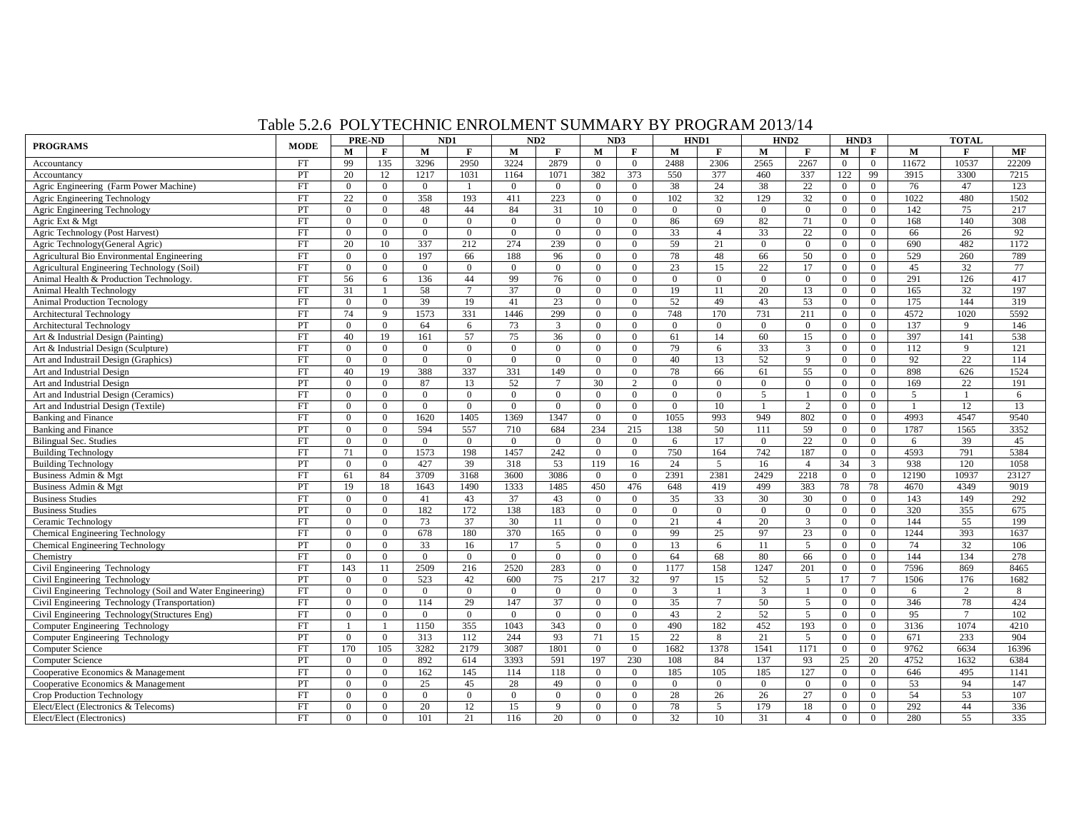## Table 5.2.6 POLYTECHNIC ENROLMENT SUMMARY BY PROGRAM 2013/14

| <b>PROGRAMS</b>                                           |             | PRE-ND         |                | ND1            |                  |                | ND2<br>ND3     |                  |                | HND1           |                | HND <sub>2</sub> |                | HND3           |                | <b>TOTAL</b> |               |       |
|-----------------------------------------------------------|-------------|----------------|----------------|----------------|------------------|----------------|----------------|------------------|----------------|----------------|----------------|------------------|----------------|----------------|----------------|--------------|---------------|-------|
|                                                           | <b>MODE</b> | M              | F              | М              | F                | M              | F              | M                | F              | M              | F              | М                | F              | М              | F              | M            | F             | MF    |
| Accountancy                                               | <b>FT</b>   | 99             | 135            | 3296           | 2950             | 3224           | 2879           | $\theta$         | $\theta$       | 2488           | 2306           | 2565             | 2267           | $\mathbf{0}$   | $\overline{0}$ | 11672        | 10537         | 22209 |
| Accountancy                                               | PT          | 20             | 12             | 1217           | 1031             | 1164           | 1071           | 382              | 373            | 550            | 377            | 460              | 337            | 122            | 99             | 3915         | 3300          | 7215  |
| Agric Engineering (Farm Power Machine)                    | FT          | $\overline{0}$ | $\overline{0}$ | $\overline{0}$ |                  | $\overline{0}$ | $\mathbf{0}$   | $\overline{0}$   | $\overline{0}$ | 38             | 24             | 38               | 22             | $\overline{0}$ | $\overline{0}$ | 76           | 47            | 123   |
| Agric Engineering Technology                              | FT          | 22             | $\theta$       | 358            | 193              | 411            | 223            | $\overline{0}$   | $\overline{0}$ | 102            | 32             | 129              | 32             | $\overline{0}$ | $\overline{0}$ | 1022         | 480           | 1502  |
| Agric Engineering Technology                              | PT          | $\overline{0}$ | $\theta$       | 48             | 44               | 84             | 31             | 10               | $\overline{0}$ | $\overline{0}$ | $\overline{0}$ | $\mathbf{0}$     | $\overline{0}$ | $\overline{0}$ | $\overline{0}$ | 142          | 75            | 217   |
| Agric Ext & Mgt                                           | FT          | $\Omega$       | $\overline{0}$ | $\Omega$       | $\mathbf{0}$     | $\Omega$       | $\overline{0}$ | $\overline{0}$   | $\Omega$       | 86             | 69             | 82               | 71             | $\overline{0}$ | $\overline{0}$ | 168          | 140           | 308   |
| Agric Technology (Post Harvest)                           | <b>FT</b>   | $\Omega$       | $\Omega$       | $\overline{0}$ | $\overline{0}$   | $\overline{0}$ | $\overline{0}$ | $\overline{0}$   | $\Omega$       | 33             | $\overline{4}$ | 33               | 22             | $\overline{0}$ | $\Omega$       | 66           | 26            | 92    |
| Agric Technology(General Agric)                           | <b>FT</b>   | 20             | 10             | 337            | 212              | 274            | 239            | $\boldsymbol{0}$ | $\overline{0}$ | 59             | 21             | $\overline{0}$   | $\overline{0}$ | $\overline{0}$ | $\overline{0}$ | 690          | 482           | 1172  |
| <b>Agricultural Bio Environmental Engineering</b>         | <b>FT</b>   | $\Omega$       | $\overline{0}$ | 197            | 66               | 188            | 96             | $\overline{0}$   | $\Omega$       | 78             | 48             | 66               | 50             | $\overline{0}$ | $\overline{0}$ | 529          | 260           | 789   |
| Agricultural Engineering Technology (Soil)                | <b>FT</b>   | $\overline{0}$ | $\overline{0}$ | $\overline{0}$ | $\mathbf{0}$     | $\overline{0}$ | $\overline{0}$ | $\overline{0}$   | $\overline{0}$ | 23             | 15             | 22               | 17             | $\overline{0}$ | $\overline{0}$ | 45           | 32            | 77    |
| Animal Health & Production Technology.                    | <b>FT</b>   | 56             | 6              | 136            | 44               | 99             | 76             | $\overline{0}$   | $\Omega$       | $\theta$       | $\overline{0}$ | $\overline{0}$   | $\overline{0}$ | $\overline{0}$ | $\overline{0}$ | 291          | 126           | 417   |
| Animal Health Technology                                  | FT          | 31             |                | 58             |                  | 37             | $\Omega$       | $\overline{0}$   | $\Omega$       | 19             | 11             | 20               | 13             | $\mathbf{0}$   | $\overline{0}$ | 165          | 32            | 197   |
| <b>Animal Production Tecnology</b>                        | <b>FT</b>   | $\Omega$       | $\Omega$       | 39             | 19               | 41             | 23             | $\overline{0}$   | $\Omega$       | 52             | 49             | 43               | 53             | $\overline{0}$ | $\theta$       | 175          | 144           | 319   |
| <b>Architectural Technology</b>                           | <b>FT</b>   | 74             | $\mathbf{q}$   | 1573           | 331              | 1446           | 299            | $\theta$         | $\Omega$       | 748            | 170            | 731              | 211            | $\Omega$       | $\Omega$       | 4572         | 1020          | 5592  |
| <b>Architectural Technology</b>                           | PT          | $\Omega$       | $\theta$       | 64             | 6                | 73             | $\mathbf{3}$   | $\overline{0}$   | $\Omega$       | $\overline{0}$ | $\overline{0}$ | $\overline{0}$   | $\overline{0}$ | $\overline{0}$ | $\overline{0}$ | 137          | 9             | 146   |
| Art & Industrial Design (Painting)                        | <b>FT</b>   | 40             | 19             | 161            | 57               | 75             | 36             | $\overline{0}$   | $\Omega$       | 61             | 14             | 60               | 15             | $\Omega$       | $\Omega$       | 397          | 141           | 538   |
| Art & Industrial Design (Sculpture)                       | <b>FT</b>   | $\Omega$       | $\theta$       | $\Omega$       | $\Omega$         | $\theta$       | $\mathbf{0}$   | $\overline{0}$   | $\Omega$       | 79             | 6              | 33               | $\overline{3}$ | $\mathbf{0}$   | $\overline{0}$ | 112          | 9             | 121   |
| Art and Industrail Design (Graphics)                      | <b>FT</b>   | $\Omega$       | $\overline{0}$ | $\overline{0}$ | $\overline{0}$   | $\Omega$       | $\theta$       | $\overline{0}$   | $\Omega$       | 40             | 13             | 52               | 9              | $\overline{0}$ | $\Omega$       | 92           | 22            | 114   |
| Art and Industrial Design                                 | <b>FT</b>   | 40             | 19             | 388            | 337              | 331            | 149            | $\mathbf{0}$     | $\overline{0}$ | 78             | 66             | 61               | 55             | $\overline{0}$ | $\overline{0}$ | 898          | 626           | 1524  |
| Art and Industrial Design                                 | PT          | $\Omega$       | $\Omega$       | 87             | 13               | 52             | $\tau$         | 30               | $\overline{2}$ | $\theta$       | $\Omega$       | $\overline{0}$   | $\overline{0}$ | $\overline{0}$ | $\Omega$       | 169          | 22            | 191   |
| Art and Industrial Design (Ceramics)                      | <b>FT</b>   | $\Omega$       | $\Omega$       | $\Omega$       | $\mathbf{0}$     | $\Omega$       | $\Omega$       | $\overline{0}$   | $\Omega$       | $\overline{0}$ | $\Omega$       | $\overline{5}$   | -1             | $\overline{0}$ | $\Omega$       | .5           | -1            | 6     |
| Art and Industrial Design (Textile)                       | FT          | $\overline{0}$ | $\overline{0}$ | $\overline{0}$ | $\mathbf{0}$     | $\overline{0}$ | $\overline{0}$ | $\overline{0}$   | $\overline{0}$ | $\overline{0}$ | 10             | $\mathbf{1}$     | 2              | $\overline{0}$ | $\overline{0}$ | $\mathbf{1}$ | 12            | 13    |
| <b>Banking and Finance</b>                                | <b>FT</b>   | $\Omega$       | $\Omega$       | 1620           | 1405             | 1369           | 1347           | $\overline{0}$   | $\Omega$       | 1055           | 993            | 949              | 802            | $\overline{0}$ | $\overline{0}$ | 4993         | 4547          | 9540  |
| <b>Banking and Finance</b>                                | PT          | $\Omega$       | $\theta$       | 594            | 557              | 710            | 684            | 234              | 215            | 138            | 50             | 111              | 59             | $\overline{0}$ | $\overline{0}$ | 1787         | 1565          | 3352  |
| <b>Bilingual Sec. Studies</b>                             | FT          | $\Omega$       | $\Omega$       | $\Omega$       | $\Omega$         | $\Omega$       | $\Omega$       | $\overline{0}$   | $\Omega$       | 6              | 17             | $\overline{0}$   | 22             | $\overline{0}$ | $\Omega$       | 6            | 39            | 45    |
| <b>Building Technology</b>                                | FT          | 71             | $\Omega$       | 1573           | 198              | 1457           | 242            | $\overline{0}$   | $\Omega$       | 750            | 164            | 742              | 187            | $\overline{0}$ | $\overline{0}$ | 4593         | 791           | 5384  |
| <b>Building Technology</b>                                | PT          | $\theta$       | $\theta$       | 427            | 39               | 318            | 53             | 119              | 16             | 24             | 5              | 16               | $\overline{4}$ | 34             | $\overline{3}$ | 938          | 120           | 1058  |
| Business Admin & Mgt                                      | <b>FT</b>   | 61             | 84             | 3709           | 3168             | 3600           | 3086           | $\overline{0}$   | $\Omega$       | 2391           | 2381           | 2429             | 2218           | $\overline{0}$ | $\overline{0}$ | 12190        | 10937         | 23127 |
| Business Admin & Mgt                                      | PT          | 19             | 18             | 1643           | 1490             | 1333           | 1485           | 450              | 476            | 648            | 419            | 499              | 383            | 78             | 78             | 4670         | 4349          | 9019  |
| <b>Business Studies</b>                                   | <b>FT</b>   | $\Omega$       | $\overline{0}$ | 41             | 43               | 37             | 43             | $\overline{0}$   | $\Omega$       | 35             | 33             | 30               | 30             | $\overline{0}$ | $\overline{0}$ | 143          | 149           | 292   |
| <b>Business Studies</b>                                   | PT          | $\Omega$       | $\mathbf{0}$   | 182            | 172              | 138            | 183            | $\overline{0}$   | $\theta$       | $\overline{0}$ | $\overline{0}$ | $\overline{0}$   | $\overline{0}$ | $\overline{0}$ | $\overline{0}$ | 320          | 355           | 675   |
| Ceramic Technology                                        | <b>FT</b>   | $\Omega$       | $\Omega$       | 73             | 37               | 30             | 11             | $\overline{0}$   | $\Omega$       | 21             | $\overline{4}$ | 20               | $\overline{3}$ | $\overline{0}$ | $\Omega$       | 144          | 55            | 199   |
| <b>Chemical Engineering Technology</b>                    | FT          | $\overline{0}$ | $\overline{0}$ | 678            | 180              | 370            | 165            | $\overline{0}$   | $\overline{0}$ | 99             | 25             | 97               | 23             | $\overline{0}$ | $\overline{0}$ | 1244         | 393           | 1637  |
| <b>Chemical Engineering Technology</b>                    | PT          | $\Omega$       | $\overline{0}$ | 33             | 16               | 17             | 5              | $\overline{0}$   | $\Omega$       | 13             | 6              | 11               | 5              | $\overline{0}$ | $\overline{0}$ | 74           | 32            | 106   |
| Chemistry                                                 | FT          | $\overline{0}$ | $\overline{0}$ | $\overline{0}$ | $\mathbf{0}$     | $\overline{0}$ | $\overline{0}$ | $\mathbf{0}$     | $\overline{0}$ | 64             | 68             | 80               | 66             | $\overline{0}$ | $\overline{0}$ | 144          | 134           | 278   |
| Civil Engineering Technology                              | FT          | 143            | 11             | 2509           | 216              | 2520           | 283            | $\overline{0}$   | $\overline{0}$ | 1177           | 158            | 1247             | 201            | $\overline{0}$ | $\overline{0}$ | 7596         | 869           | 8465  |
| Civil Engineering Technology                              | PT          | $\Omega$       | $\theta$       | 523            | 42               | 600            | 75             | 217              | 32             | 97             | 15             | 52               | 5              | 17             | $\tau$         | 1506         | 176           | 1682  |
| Civil Engineering Technology (Soil and Water Engineering) | FT          | $\Omega$       | $\theta$       | $\theta$       | $\theta$         | $\Omega$       | $\Omega$       | $\theta$         | $\Omega$       | $\overline{3}$ |                | 3                |                | $\overline{0}$ | $\Omega$       | 6            | $\mathcal{D}$ | 8     |
| Civil Engineering Technology (Transportation)             | <b>FT</b>   | $\Omega$       | $\theta$       | 114            | 29               | 147            | 37             | $\overline{0}$   | $\Omega$       | 35             | $\overline{7}$ | 50               | 5              | $\overline{0}$ | $\Omega$       | 346          | 78            | 424   |
| Civil Engineering Technology(Structures Eng)              | FT          | $\Omega$       | $\theta$       | $\theta$       | $\theta$         | $\theta$       | $\theta$       | $\overline{0}$   | $\Omega$       | 43             | 2              | 52               | 5              | $\overline{0}$ | $\overline{0}$ | 95           | $\tau$        | 102   |
| Computer Engineering Technology                           | <b>FT</b>   |                | $\overline{1}$ | 1150           | 355              | 1043           | 343            | $\theta$         | $\Omega$       | 490            | 182            | 452              | 193            | $\overline{0}$ | $\Omega$       | 3136         | 1074          | 4210  |
| Computer Engineering Technology                           | PT          | $\overline{0}$ | $\overline{0}$ | 313            | 112              | 244            | 93             | 71               | 15             | 22             | 8              | 21               | 5              | $\overline{0}$ | $\overline{0}$ | 671          | 233           | 904   |
| <b>Computer Science</b>                                   | <b>FT</b>   | 170            | 105            | 3282           | 2179             | 3087           | 1801           | $\overline{0}$   | $\theta$       | 1682           | 1378           | 1541             | 1171           | $\overline{0}$ | $\overline{0}$ | 9762         | 6634          | 16396 |
| <b>Computer Science</b>                                   | PT          | $\overline{0}$ | $\overline{0}$ | 892            | 614              | 3393           | 591            | 197              | 230            | 108            | 84             | 137              | 93             | 25             | 20             | 4752         | 1632          | 6384  |
| Cooperative Economics & Management                        | <b>FT</b>   | $\Omega$       | $\overline{0}$ | 162            | 145              | 114            | 118            | $\overline{0}$   | $\overline{0}$ | 185            | 105            | 185              | 127            | $\overline{0}$ | $\Omega$       | 646          | 495           | 1141  |
| Cooperative Economics & Management                        | PT          | $\Omega$       | $\Omega$       | 25             | 45               | 28             | 49             | $\overline{0}$   | $\Omega$       | $\overline{0}$ | $\Omega$       | $\overline{0}$   | $\overline{0}$ | $\overline{0}$ | $\Omega$       | 53           | 94            | 147   |
| Crop Production Technology                                | FT          | $\overline{0}$ | $\overline{0}$ | $\overline{0}$ | $\boldsymbol{0}$ | $\overline{0}$ | $\overline{0}$ | $\boldsymbol{0}$ | $\overline{0}$ | 28             | 26             | 26               | 27             | $\overline{0}$ | $\overline{0}$ | 54           | 53            | 107   |
| Elect/Elect (Electronics & Telecoms)                      | <b>FT</b>   | $\Omega$       | $\theta$       | 20             | 12               | 15             | 9              | $\overline{0}$   | $\Omega$       | 78             | 5              | 179              | 18             | $\overline{0}$ | $\Omega$       | 292          | 44            | 336   |
| Elect/Elect (Electronics)                                 | <b>FT</b>   | $\Omega$       | $\Omega$       | 101            | 21               | 116            | 20             | $\overline{0}$   | $\Omega$       | 32             | 10             | 31               | $\overline{4}$ | $\overline{0}$ | $\overline{0}$ | 280          | 55            | 335   |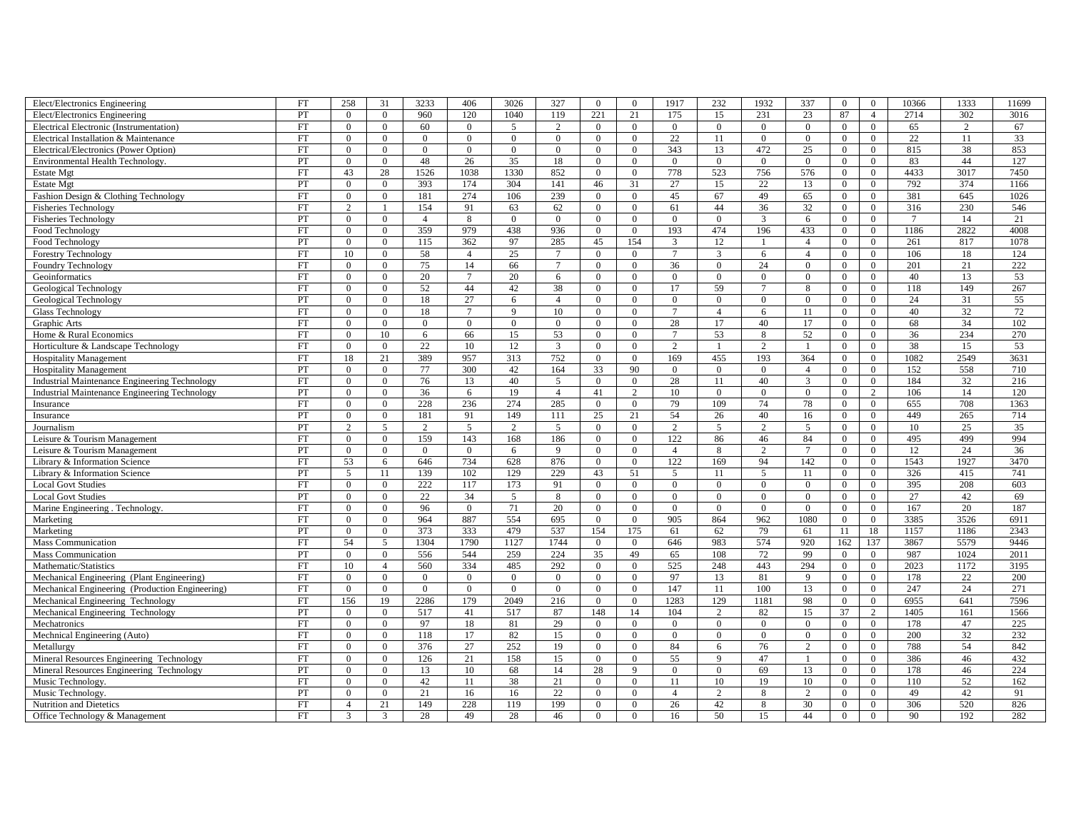| Elect/Electronics Engineering                        | <b>FT</b> | 258            | 31               | 3233           | 406             | 3026           | 327            | $\theta$         | $\theta$       | 1917           | 232            | 1932           | 337            | $\overline{0}$ | $\overline{0}$ | 10366          | 1333            | 11699           |
|------------------------------------------------------|-----------|----------------|------------------|----------------|-----------------|----------------|----------------|------------------|----------------|----------------|----------------|----------------|----------------|----------------|----------------|----------------|-----------------|-----------------|
| Elect/Electronics Engineering                        | PT        | $\overline{0}$ | $\overline{0}$   | 960            | 120             | 1040           | 119            | 221              | 21             | 175            | 15             | 231            | 23             | 87             | $\overline{4}$ | 2714           | 302             | 3016            |
| Electrical Electronic (Instrumentation)              | <b>FT</b> | $\Omega$       | $\Omega$         | 60             | $\theta$        | $\overline{5}$ | $\overline{2}$ | $\theta$         | $\theta$       | $\Omega$       | $\overline{0}$ | $\overline{0}$ | $\overline{0}$ | $\overline{0}$ | $\Omega$       | 65             | $\overline{2}$  | 67              |
| Electrical Installation & Maintenance                | <b>FT</b> | $\Omega$       | $\overline{0}$   | $\Omega$       | $\mathbf{0}$    | $\Omega$       | $\overline{0}$ | $\overline{0}$   | $\Omega$       | 22             | 11             | $\overline{0}$ | $\overline{0}$ | $\overline{0}$ | $\Omega$       | 22             | 11              | 33              |
| Electrical/Electronics (Power Option)                | <b>FT</b> | $\Omega$       | $\theta$         | $\theta$       | $\theta$        | $\theta$       | $\mathbf{0}$   | $\overline{0}$   | $\Omega$       | 343            | 13             | 472            | 25             | $\mathbf{0}$   | $\overline{0}$ | 815            | 38              | 853             |
| <b>Environmental Health Technology</b>               | PT        | $\Omega$       | $\overline{0}$   | 48             | 26              | 35             | 18             | $\overline{0}$   | $\Omega$       | $\overline{0}$ | $\mathbf{0}$   | $\overline{0}$ | $\overline{0}$ | $\mathbf{0}$   | $\Omega$       | 83             | 44              | 127             |
| <b>Estate Mgt</b>                                    | FT        | 43             | 28               | 1526           | 1038            | 1330           | 852            | $\overline{0}$   | $\overline{0}$ | 778            | 523            | 756            | 576            | $\overline{0}$ | $\overline{0}$ | 4433           | 3017            | 7450            |
| <b>Estate Mgt</b>                                    | PT        | $\Omega$       | $\boldsymbol{0}$ | 393            | 174             | 304            | 141            | 46               | 31             | 27             | 15             | 22             | 13             | $\overline{0}$ | $\theta$       | 792            | 374             | 1166            |
| Fashion Design & Clothing Technology                 | <b>FT</b> | $\Omega$       | $\theta$         | 181            | 274             | 106            | 239            | $\overline{0}$   | $\Omega$       | 45             | 67             | 49             | 65             | $\overline{0}$ | $\Omega$       | 381            | 645             | 1026            |
| <b>Fisheries Technology</b>                          | FT        | $\overline{c}$ | $\overline{1}$   | 154            | 91              | 63             | 62             | $\overline{0}$   | $\overline{0}$ | 61             | 44             | 36             | 32             | $\overline{0}$ | $\overline{0}$ | 316            | 230             | 546             |
| <b>Fisheries Technology</b>                          | PT        | $\Omega$       | $\overline{0}$   | $\overline{4}$ | 8               | $\mathbf{0}$   | $\overline{0}$ | $\overline{0}$   | $\theta$       | $\overline{0}$ | $\overline{0}$ | $\overline{3}$ | 6              | $\overline{0}$ | $\Omega$       | $\overline{7}$ | 14              | 21              |
| Food Technology                                      | FT        | $\overline{0}$ | $\overline{0}$   | 359            | 979             | 438            | 936            | $\mathbf{0}$     | $\overline{0}$ | 193            | 474            | 196            | 433            | $\overline{0}$ | $\overline{0}$ | 1186           | 2822            | 4008            |
| Food Technology                                      | PT        | $\Omega$       | $\theta$         | 115            | 362             | 97             | 285            | 45               | 154            | $\overline{3}$ | 12             |                | $\overline{4}$ | $\overline{0}$ | $\theta$       | 261            | 817             | 1078            |
| <b>Forestry Technology</b>                           | <b>FT</b> | 10             | $\theta$         | 58             | $\overline{A}$  | 25             | $\tau$         | $\theta$         | $\theta$       | $\overline{7}$ | 3              | 6              | $\overline{4}$ | $\mathbf{0}$   | $\Omega$       | 106            | 18              | 124             |
| Foundry Technology                                   | FT        | $\overline{0}$ | $\overline{0}$   | 75             | 14              | 66             | $\tau$         | $\overline{0}$   | $\overline{0}$ | 36             | $\overline{0}$ | 24             | $\overline{0}$ | $\overline{0}$ | $\overline{0}$ | 201            | $\overline{21}$ | 222             |
| Geoinformatics                                       | FT        | $\overline{0}$ | $\overline{0}$   | 20             | $7\phantom{.0}$ | 20             | 6              | $\overline{0}$   | $\overline{0}$ | $\mathbf{0}$   | $\overline{0}$ | $\overline{0}$ | $\overline{0}$ | $\overline{0}$ | $\overline{0}$ | 40             | 13              | 53              |
| Geological Technology                                | <b>FT</b> | $\Omega$       | $\overline{0}$   | 52             | 44              | 42             | 38             | $\overline{0}$   | $\Omega$       | 17             | 59             |                | 8              | $\overline{0}$ | $\overline{0}$ | 118            | 149             | 267             |
| Geological Technology                                | PT        | $\overline{0}$ | $\theta$         | 18             | 27              | 6              | $\overline{4}$ | $\mathbf{0}$     | $\Omega$       | $\theta$       | $\overline{0}$ | $\mathbf{0}$   | $\overline{0}$ | $\mathbf{0}$   | $\overline{0}$ | 24             | 31              | 55              |
| <b>Glass Technology</b>                              | <b>FT</b> | $\Omega$       | $\mathbf{0}$     | 18             | $\overline{7}$  | $\mathbf{Q}$   | 10             | $\overline{0}$   | $\theta$       | $\overline{7}$ | $\overline{4}$ | 6              | 11             | $\mathbf{0}$   | $\Omega$       | 40             | $\overline{32}$ | $\overline{72}$ |
| Graphic Arts                                         | FT        | $\Omega$       | $\overline{0}$   | $\overline{0}$ | $\mathbf{0}$    | $\overline{0}$ | $\overline{0}$ | $\mathbf{0}$     | $\overline{0}$ | 28             | 17             | 40             | 17             | $\overline{0}$ | $\overline{0}$ | 68             | 34              | 102             |
| Home & Rural Economics                               | FT        | $\overline{0}$ | 10               | 6              | 66              | 15             | 53             | $\overline{0}$   | $\Omega$       | $\overline{7}$ | 53             | 8              | 52             | $\overline{0}$ | $\overline{0}$ | 36             | 234             | 270             |
| Horticulture & Landscape Technology                  | <b>FT</b> | $\Omega$       | $\theta$         | 22             | 10              | 12             | $\mathbf{3}$   | $\overline{0}$   | $\Omega$       | 2              |                | 2              | $\overline{1}$ | $\overline{0}$ | $\theta$       | 38             | 15              | 53              |
| <b>Hospitality Management</b>                        | FT        | 18             | 21               | 389            | 957             | 313            | 752            | $\mathbf{0}$     | $\overline{0}$ | 169            | 455            | 193            | 364            | $\overline{0}$ | $\overline{0}$ | 1082           | 2549            | 3631            |
| <b>Hospitality Management</b>                        | PT        | $\overline{0}$ | $\overline{0}$   | 77             | 300             | 42             | 164            | 33               | 90             | $\overline{0}$ | $\overline{0}$ | $\mathbf{0}$   | $\overline{4}$ | $\overline{0}$ | $\overline{0}$ | 152            | 558             | 710             |
| <b>Industrial Maintenance Engineering Technology</b> | <b>FT</b> | $\Omega$       | $\overline{0}$   | 76             | 13              | 40             | 5              | $\overline{0}$   | $\theta$       | 28             | 11             | 40             | $\overline{3}$ | $\overline{0}$ | $\overline{0}$ | 184            | 32              | 216             |
| <b>Industrial Maintenance Engineering Technology</b> | PT        | $\Omega$       | $\mathbf{0}$     | 36             | 6               | 19             | $\overline{4}$ | 41               | 2              | 10             | $\overline{0}$ | $\overline{0}$ | $\overline{0}$ | $\overline{0}$ | $\overline{2}$ | 106            | 14              | 120             |
| Insurance                                            | <b>FT</b> | $\Omega$       | $\theta$         | 228            | 236             | 274            | 285            | $\theta$         | $\Omega$       | 79             | 109            | 74             | 78             | $\overline{0}$ | $\Omega$       | 655            | 708             | 1363            |
| Insurance                                            | PT        | $\overline{0}$ | $\overline{0}$   | 181            | 91              | 149            | 111            | 25               | 21             | 54             | 26             | 40             | 16             | $\overline{0}$ | $\overline{0}$ | 449            | 265             | 714             |
| Journalism                                           | PT        | $\overline{2}$ | 5                | 2              | 5               | 2              | 5              | $\overline{0}$   | $\overline{0}$ | 2              | 5              | $\overline{2}$ | 5              | $\overline{0}$ | $\overline{0}$ | 10             | 25              | 35              |
| Leisure & Tourism Management                         | <b>FT</b> | $\Omega$       | $\overline{0}$   | 159            | 143             | 168            | 186            | $\overline{0}$   | $\Omega$       | 122            | 86             | 46             | 84             | $\overline{0}$ | $\overline{0}$ | 495            | 499             | 994             |
| Leisure & Tourism Management                         | PT        | $\Omega$       | $\theta$         | $\theta$       | $\Omega$        | 6              | 9              | $\overline{0}$   | $\Omega$       | $\overline{4}$ | 8              | 2              | $\overline{7}$ | $\overline{0}$ | $\Omega$       | 12             | 24              | 36              |
| Library & Information Science                        | FT        | 53             | 6                | 646            | 734             | 628            | 876            | $\overline{0}$   | $\overline{0}$ | 122            | 169            | 94             | 142            | $\overline{0}$ | $\overline{0}$ | 1543           | 1927            | 3470            |
| Library & Information Science                        | PT        | 5              | 11               | 139            | 102             | 129            | 229            | 43               | 51             | 5              | 11             | 5              | 11             | $\overline{0}$ | $\overline{0}$ | 326            | 415             | 741             |
| <b>Local Govt Studies</b>                            | FT        | $\overline{0}$ | $\overline{0}$   | 222            | 117             | 173            | 91             | $\mathbf{0}$     | $\overline{0}$ | $\mathbf{0}$   | $\overline{0}$ | $\overline{0}$ | $\overline{0}$ | $\overline{0}$ | $\overline{0}$ | 395            | 208             | 603             |
| <b>Local Govt Studies</b>                            | PT        | $\Omega$       | $\Omega$         | 22             | 34              | $\overline{5}$ | 8              | $\theta$         | $\Omega$       | $\Omega$       | $\Omega$       | $\theta$       | $\theta$       | $\overline{0}$ | $\theta$       | 27             | 42              | 69              |
| Marine Engineering . Technology.                     | <b>FT</b> | $\Omega$       | $\overline{0}$   | 96             | $\theta$        | 71             | 20             | $\overline{0}$   | $\theta$       | $\Omega$       | $\overline{0}$ | $\mathbf{0}$   | $\overline{0}$ | $\mathbf{0}$   | $\mathbf{0}$   | 167            | 20              | 187             |
| Marketing                                            | FT        | $\mathbf{0}$   | $\overline{0}$   | 964            | 887             | 554            | 695            | $\mathbf{0}$     | $\mathbf{0}$   | 905            | 864            | 962            | 1080           | $\mathbf{0}$   | $\overline{0}$ | 3385           | 3526            | 6911            |
| Marketing                                            | PT        | $\overline{0}$ | $\overline{0}$   | 373            | 333             | 479            | 537            | 154              | 175            | 61             | 62             | 79             | 61             | 11             | 18             | 1157           | 1186            | 2343            |
| <b>Mass Communication</b>                            | <b>FT</b> | 54             | 5                | 1304           | 1790            | 1127           | 1744           | $\overline{0}$   | $\Omega$       | 646            | 983            | 574            | 920            | 162            | 137            | 3867           | 5579            | 9446            |
| <b>Mass Communication</b>                            | PT        | $\Omega$       | $\overline{0}$   | 556            | 544             | 259            | 224            | 35               | 49             | 65             | 108            | 72             | 99             | $\overline{0}$ | $\overline{0}$ | 987            | 1024            | 2011            |
| Mathematic/Statistics                                | FT        | 10             | $\overline{4}$   | 560            | 334             | 485            | 292            | $\overline{0}$   | $\overline{0}$ | 525            | 248            | 443            | 294            | $\overline{0}$ | $\overline{0}$ | 2023           | 1172            | 3195            |
| Mechanical Engineering (Plant Engineering)           | FT        | $\overline{0}$ | $\overline{0}$   | $\overline{0}$ | $\overline{0}$  | $\overline{0}$ | $\overline{0}$ | $\overline{0}$   | $\overline{0}$ | 97             | 13             | 81             | $\overline{9}$ | $\overline{0}$ | $\overline{0}$ | 178            | 22              | 200             |
| Mechanical Engineering (Production Engineering)      | FT        | $\Omega$       | $\overline{0}$   | $\Omega$       | $\theta$        | $\Omega$       | $\Omega$       | $\mathbf{0}$     | $\Omega$       | 147            | 11             | 100            | 13             | $\overline{0}$ | $\overline{0}$ | 247            | 24              | 271             |
| Mechanical Engineering Technology                    | <b>FT</b> | 156            | 19               | 2286           | 179             | 2049           | 216            | $\overline{0}$   | $\Omega$       | 1283           | 129            | 1181           | 98             | $\overline{0}$ | $\theta$       | 6955           | 641             | 7596            |
| Mechanical Engineering Technology                    | PT        | $\overline{0}$ | $\mathbf{0}$     | 517            | 41              | 517            | 87             | 148              | 14             | 104            | 2              | 82             | 15             | 37             | $\overline{2}$ | 1405           | 161             | 1566            |
| Mechatronics                                         | <b>FT</b> | $\Omega$       | $\mathbf{0}$     | 97             | 18              | 81             | 29             | $\overline{0}$   | $\theta$       | $\overline{0}$ | $\overline{0}$ | $\overline{0}$ | $\overline{0}$ | $\overline{0}$ | $\overline{0}$ | 178            | 47              | 225             |
| Mechnical Engineering (Auto)                         | FT        | $\overline{0}$ | $\overline{0}$   | 118            | 17              | 82             | 15             | $\overline{0}$   | $\overline{0}$ | $\overline{0}$ | $\overline{0}$ | $\overline{0}$ | $\overline{0}$ | $\overline{0}$ | $\overline{0}$ | 200            | 32              | 232             |
| Metallurgv                                           | FT        | $\Omega$       | $\mathbf{0}$     | 376            | 27              | 252            | 19             | $\overline{0}$   | $\Omega$       | 84             | 6              | 76             | $\overline{c}$ | $\overline{0}$ | $\overline{0}$ | 788            | 54              | 842             |
| Mineral Resources Engineering Technology             | <b>FT</b> | $\Omega$       | $\theta$         | 126            | 21              | 158            | 15             | $\overline{0}$   | $\theta$       | 55             | 9              | 47             | $\overline{1}$ | $\overline{0}$ | $\theta$       | 386            | 46              | 432             |
| Mineral Resources Engineering Technology             | PT        | $\overline{0}$ | $\overline{0}$   | 13             | 10              | 68             | 14             | 28               | 9              | $\mathbf{0}$   | $\overline{0}$ | 69             | 13             | $\overline{0}$ | $\overline{0}$ | 178            | 46              | 224             |
| Music Technology.                                    | FT        | $\overline{0}$ | $\overline{0}$   | 42             | 11              | 38             | 21             | $\boldsymbol{0}$ | $\overline{0}$ | 11             | 10             | 19             | 10             | $\overline{0}$ | $\overline{0}$ | 110            | 52              | 162             |
| Music Technology.                                    | PT        | $\Omega$       | $\theta$         | 21             | 16              | 16             | 22             | $\overline{0}$   | $\Omega$       | $\overline{A}$ | $\overline{2}$ | 8              | $\overline{c}$ | $\overline{0}$ | $\theta$       | 49             | 42              | 91              |
| Nutrition and Dietetics                              | <b>FT</b> | $\overline{4}$ | 21               | 149            | 228             | 119            | 199            | $\overline{0}$   | $\Omega$       | 26             | 42             | 8              | 30             | $\mathbf{0}$   | $\Omega$       | 306            | 520             | 826             |
| Office Technology & Management                       | <b>FT</b> | 3              | 3                | 28             | 49              | 28             | 46             | $\theta$         | $\theta$       | 16             | 50             | 15             | 44             | $\theta$       | $\theta$       | 90             | 192             | 282             |